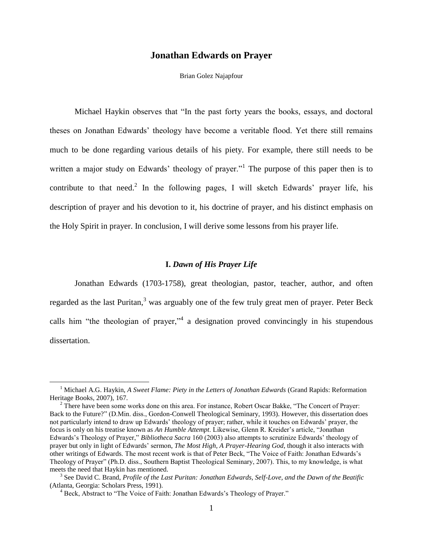# **Jonathan Edwards on Prayer**

#### Brian Golez Najapfour

Michael Haykin observes that "In the past forty years the books, essays, and doctoral theses on Jonathan Edwards' theology have become a veritable flood. Yet there still remains much to be done regarding various details of his piety. For example, there still needs to be written a major study on Edwards' theology of prayer."<sup>1</sup> The purpose of this paper then is to contribute to that need.<sup>2</sup> In the following pages, I will sketch Edwards' prayer life, his description of prayer and his devotion to it, his doctrine of prayer, and his distinct emphasis on the Holy Spirit in prayer. In conclusion, I will derive some lessons from his prayer life.

#### **I.** *Dawn of His Prayer Life*

Jonathan Edwards (1703-1758), great theologian, pastor, teacher, author, and often regarded as the last Puritan, $3$  was arguably one of the few truly great men of prayer. Peter Beck calls him "the theologian of prayer,"<sup>4</sup> a designation proved convincingly in his stupendous dissertation.

<sup>1</sup> Michael A.G. Haykin, *A Sweet Flame: Piety in the Letters of Jonathan Edwards* (Grand Rapids: Reformation Heritage Books, 2007), 167.

 $2$  There have been some works done on this area. For instance, Robert Oscar Bakke, "The Concert of Prayer: Back to the Future?" (D.Min. diss., Gordon-Conwell Theological Seminary, 1993). However, this dissertation does not particularly intend to draw up Edwards' theology of prayer; rather, while it touches on Edwards' prayer, the focus is only on his treatise known as *An Humble Attempt*. Likewise, Glenn R. Kreider's article, "Jonathan Edwards's Theology of Prayer," *Bibliotheca Sacra* 160 (2003) also attempts to scrutinize Edwards' theology of prayer but only in light of Edwards' sermon, *The Most High, A Prayer-Hearing God*, though it also interacts with other writings of Edwards. The most recent work is that of Peter Beck, "The Voice of Faith: Jonathan Edwards's Theology of Prayer‖ (Ph.D. diss., Southern Baptist Theological Seminary, 2007). This, to my knowledge, is what meets the need that Haykin has mentioned.

<sup>3</sup> See David C. Brand, *Profile of the Last Puritan: Jonathan Edwards, Self-Love, and the Dawn of the Beatific* (Atlanta, Georgia: Scholars Press, 1991).

<sup>&</sup>lt;sup>4</sup> Beck, Abstract to "The Voice of Faith: Jonathan Edwards's Theology of Prayer."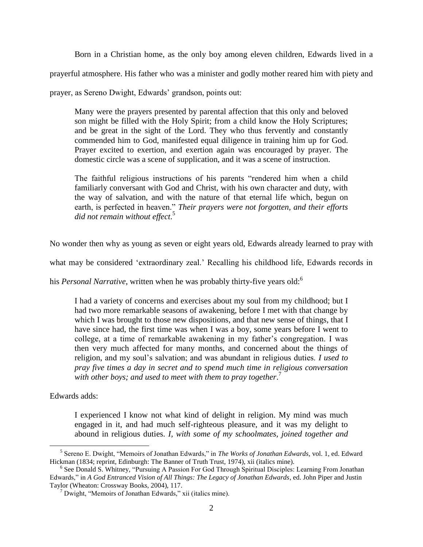Born in a Christian home, as the only boy among eleven children, Edwards lived in a

prayerful atmosphere. His father who was a minister and godly mother reared him with piety and

prayer, as Sereno Dwight, Edwards' grandson, points out:

Many were the prayers presented by parental affection that this only and beloved son might be filled with the Holy Spirit; from a child know the Holy Scriptures; and be great in the sight of the Lord. They who thus fervently and constantly commended him to God, manifested equal diligence in training him up for God. Prayer excited to exertion, and exertion again was encouraged by prayer. The domestic circle was a scene of supplication, and it was a scene of instruction.

The faithful religious instructions of his parents "rendered him when a child familiarly conversant with God and Christ, with his own character and duty, with the way of salvation, and with the nature of that eternal life which, begun on earth, is perfected in heaven." *Their prayers were not forgotten, and their efforts did not remain without effect*. 5

No wonder then why as young as seven or eight years old, Edwards already learned to pray with

what may be considered 'extraordinary zeal.' Recalling his childhood life, Edwards records in

his *Personal Narrative*, written when he was probably thirty-five years old:<sup>6</sup>

I had a variety of concerns and exercises about my soul from my childhood; but I had two more remarkable seasons of awakening, before I met with that change by which I was brought to those new dispositions, and that new sense of things, that I have since had, the first time was when I was a boy, some years before I went to college, at a time of remarkable awakening in my father's congregation. I was then very much affected for many months, and concerned about the things of religion, and my soul's salvation; and was abundant in religious duties. *I used to pray five times a day in secret and to spend much time in religious conversation with other boys; and used to meet with them to pray together*. 7

Edwards adds:

 $\overline{a}$ 

I experienced I know not what kind of delight in religion. My mind was much engaged in it, and had much self-righteous pleasure, and it was my delight to abound in religious duties. *I, with some of my schoolmates, joined together and* 

<sup>&</sup>lt;sup>5</sup> Sereno E. Dwight, "Memoirs of Jonathan Edwards," in *The Works of Jonathan Edwards*, vol. 1, ed. Edward Hickman (1834; reprint, Edinburgh: The Banner of Truth Trust, 1974), xii (italics mine).

<sup>&</sup>lt;sup>6</sup> See Donald S. Whitney, "Pursuing A Passion For God Through Spiritual Disciples: Learning From Jonathan Edwards," in *A God Entranced Vision of All Things: The Legacy of Jonathan Edwards*, ed. John Piper and Justin Taylor (Wheaton: Crossway Books, 2004), 117.

 $^7$  Dwight, "Memoirs of Jonathan Edwards," xii (italics mine).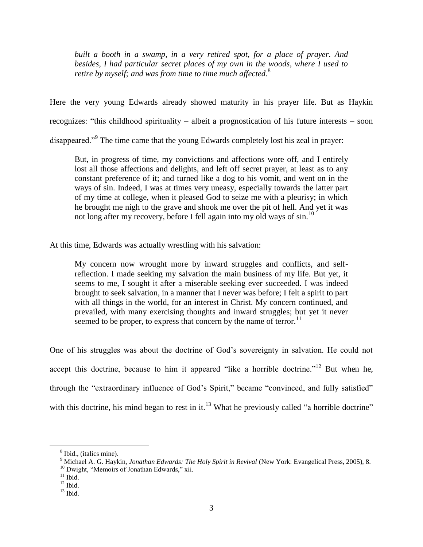*built a booth in a swamp, in a very retired spot, for a place of prayer. And besides, I had particular secret places of my own in the woods, where I used to retire by myself; and was from time to time much affected*. 8

Here the very young Edwards already showed maturity in his prayer life. But as Haykin recognizes: "this childhood spirituality – albeit a prognostication of his future interests – soon

disappeared."<sup>9</sup> The time came that the young Edwards completely lost his zeal in prayer:

But, in progress of time, my convictions and affections wore off, and I entirely lost all those affections and delights, and left off secret prayer, at least as to any constant preference of it; and turned like a dog to his vomit, and went on in the ways of sin. Indeed, I was at times very uneasy, especially towards the latter part of my time at college, when it pleased God to seize me with a pleurisy; in which he brought me nigh to the grave and shook me over the pit of hell. And yet it was not long after my recovery, before I fell again into my old ways of sin.<sup>10</sup>

At this time, Edwards was actually wrestling with his salvation:

My concern now wrought more by inward struggles and conflicts, and selfreflection. I made seeking my salvation the main business of my life. But yet, it seems to me, I sought it after a miserable seeking ever succeeded. I was indeed brought to seek salvation, in a manner that I never was before; I felt a spirit to part with all things in the world, for an interest in Christ. My concern continued, and prevailed, with many exercising thoughts and inward struggles; but yet it never seemed to be proper, to express that concern by the name of terror.<sup>11</sup>

One of his struggles was about the doctrine of God's sovereignty in salvation. He could not accept this doctrine, because to him it appeared "like a horrible doctrine."<sup>12</sup> But when he, through the "extraordinary influence of God's Spirit," became "convinced, and fully satisfied" with this doctrine, his mind began to rest in it.<sup>13</sup> What he previously called "a horrible doctrine"

<sup>8</sup> Ibid., (italics mine).

<sup>9</sup> Michael A. G. Haykin, *Jonathan Edwards: The Holy Spirit in Revival* (New York: Evangelical Press, 2005), 8.

 $10$  Dwight, "Memoirs of Jonathan Edwards," xii.

 $11$  Ibid.

 $12$  Ibid.

 $13$  Ibid.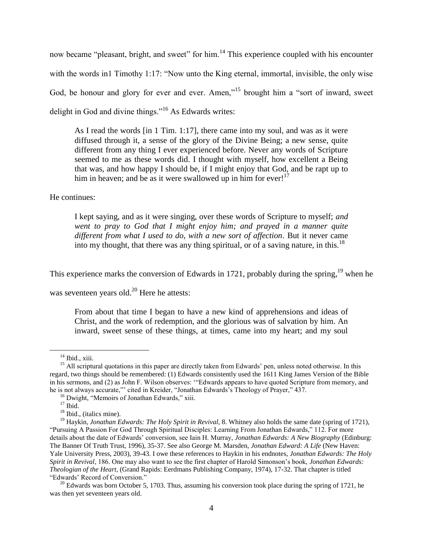now became "pleasant, bright, and sweet" for him.<sup>14</sup> This experience coupled with his encounter with the words in1 Timothy 1:17: "Now unto the King eternal, immortal, invisible, the only wise God, be honour and glory for ever and ever. Amen,"<sup>15</sup> brought him a "sort of inward, sweet delight in God and divine things."<sup>16</sup> As Edwards writes:

As I read the words [in 1 Tim. 1:17], there came into my soul, and was as it were diffused through it, a sense of the glory of the Divine Being; a new sense, quite different from any thing I ever experienced before. Never any words of Scripture seemed to me as these words did. I thought with myself, how excellent a Being that was, and how happy I should be, if I might enjoy that God, and be rapt up to him in heaven; and be as it were swallowed up in him for  $|^{17}$ 

He continues:

I kept saying, and as it were singing, over these words of Scripture to myself; *and went to pray to God that I might enjoy him; and prayed in a manner quite different from what I used to do, with a new sort of affection*. But it never came into my thought, that there was any thing spiritual, or of a saving nature, in this.<sup>18</sup>

This experience marks the conversion of Edwards in 1721, probably during the spring,<sup>19</sup> when he

was seventeen years old. $^{20}$  Here he attests:

From about that time I began to have a new kind of apprehensions and ideas of Christ, and the work of redemption, and the glorious was of salvation by him. An inward, sweet sense of these things, at times, came into my heart; and my soul

<sup>&</sup>lt;sup>14</sup> Ibid., xiii.

 $15$  All scriptural quotations in this paper are directly taken from Edwards' pen, unless noted otherwise. In this regard, two things should be remembered: (1) Edwards consistently used the 1611 King James Version of the Bible in his sermons, and (2) as John F. Wilson observes: "Edwards appears to have quoted Scripture from memory, and he is not always accurate,"' cited in Kreider, "Jonathan Edwards's Theology of Prayer," 437.

 $16$  Dwight, "Memoirs of Jonathan Edwards," xiii.

 $17$  Ibid.

<sup>&</sup>lt;sup>18</sup> Ibid., (italics mine).

<sup>19</sup> Haykin, *Jonathan Edwards: The Holy Spirit in Revival*, 8. Whitney also holds the same date (spring of 1721), "Pursuing A Passion For God Through Spiritual Disciples: Learning From Jonathan Edwards," 112. For more details about the date of Edwards' conversion, see Iain H. Murray, *Jonathan Edwards: A New Biography* (Edinburg: The Banner Of Truth Trust, 1996), 35-37. See also George M. Marsden, *Jonathan Edward: A Life* (New Haven: Yale University Press, 2003), 39-43. I owe these references to Haykin in his endnotes, *Jonathan Edwards: The Holy Spirit in Revival*, 186. One may also want to see the first chapter of Harold Simonson's book, *Jonathan Edwards: Theologian of the Heart*, (Grand Rapids: Eerdmans Publishing Company, 1974), 17-32. That chapter is titled "Edwards' Record of Conversion."

<sup>&</sup>lt;sup>20</sup> Edwards was born October 5, 1703. Thus, assuming his conversion took place during the spring of 1721, he was then yet seventeen years old.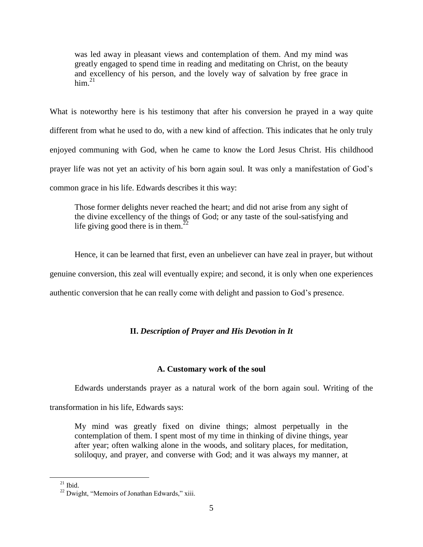was led away in pleasant views and contemplation of them. And my mind was greatly engaged to spend time in reading and meditating on Christ, on the beauty and excellency of his person, and the lovely way of salvation by free grace in  $\mathrm{him.}^{21}$ 

What is noteworthy here is his testimony that after his conversion he prayed in a way quite different from what he used to do, with a new kind of affection. This indicates that he only truly enjoyed communing with God, when he came to know the Lord Jesus Christ. His childhood prayer life was not yet an activity of his born again soul. It was only a manifestation of God's common grace in his life. Edwards describes it this way:

Those former delights never reached the heart; and did not arise from any sight of the divine excellency of the things of God; or any taste of the soul-satisfying and life giving good there is in them.<sup>2</sup>

Hence, it can be learned that first, even an unbeliever can have zeal in prayer, but without genuine conversion, this zeal will eventually expire; and second, it is only when one experiences authentic conversion that he can really come with delight and passion to God's presence.

# **II.** *Description of Prayer and His Devotion in It*

# **A. Customary work of the soul**

Edwards understands prayer as a natural work of the born again soul. Writing of the

transformation in his life, Edwards says:

My mind was greatly fixed on divine things; almost perpetually in the contemplation of them. I spent most of my time in thinking of divine things, year after year; often walking alone in the woods, and solitary places, for meditation, soliloquy, and prayer, and converse with God; and it was always my manner, at

 $^{21}$  Ibid.

 $22$  Dwight, "Memoirs of Jonathan Edwards," xiii.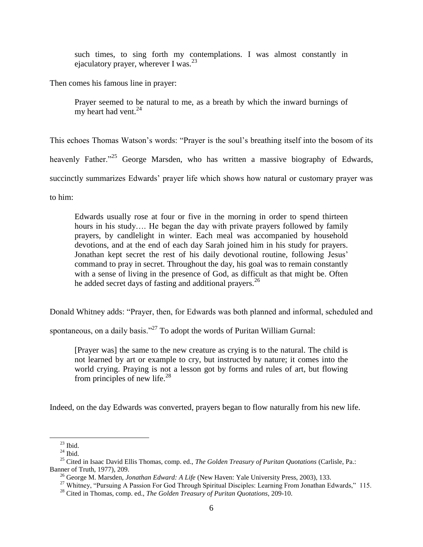such times, to sing forth my contemplations. I was almost constantly in ejaculatory prayer, wherever I was.  $23$ 

Then comes his famous line in prayer:

Prayer seemed to be natural to me, as a breath by which the inward burnings of my heart had vent. $^{24}$ 

This echoes Thomas Watson's words: "Prayer is the soul's breathing itself into the bosom of its heavenly Father.<sup>25</sup> George Marsden, who has written a massive biography of Edwards, succinctly summarizes Edwards' prayer life which shows how natural or customary prayer was to him:

Edwards usually rose at four or five in the morning in order to spend thirteen hours in his study.... He began the day with private prayers followed by family prayers, by candlelight in winter. Each meal was accompanied by household devotions, and at the end of each day Sarah joined him in his study for prayers. Jonathan kept secret the rest of his daily devotional routine, following Jesus' command to pray in secret. Throughout the day, his goal was to remain constantly with a sense of living in the presence of God, as difficult as that might be. Often he added secret days of fasting and additional prayers.<sup>26</sup>

Donald Whitney adds: "Prayer, then, for Edwards was both planned and informal, scheduled and

spontaneous, on a daily basis."<sup>27</sup> To adopt the words of Puritan William Gurnal:

[Prayer was] the same to the new creature as crying is to the natural. The child is not learned by art or example to cry, but instructed by nature; it comes into the world crying. Praying is not a lesson got by forms and rules of art, but flowing from principles of new life. $^{28}$ 

Indeed, on the day Edwards was converted, prayers began to flow naturally from his new life.

 $23$  Ibid.

 $^{24}$  Ibid.

<sup>25</sup> Cited in Isaac David Ellis Thomas, comp. ed., *The Golden Treasury of Puritan Quotations* (Carlisle, Pa.: Banner of Truth, 1977), 209.

<sup>26</sup> George M. Marsden, *Jonathan Edward: A Life* (New Haven: Yale University Press, 2003), 133.

<sup>&</sup>lt;sup>27</sup> Whitney, "Pursuing A Passion For God Through Spiritual Disciples: Learning From Jonathan Edwards," 115.

<sup>28</sup> Cited in Thomas, comp. ed., *The Golden Treasury of Puritan Quotations*, 209-10.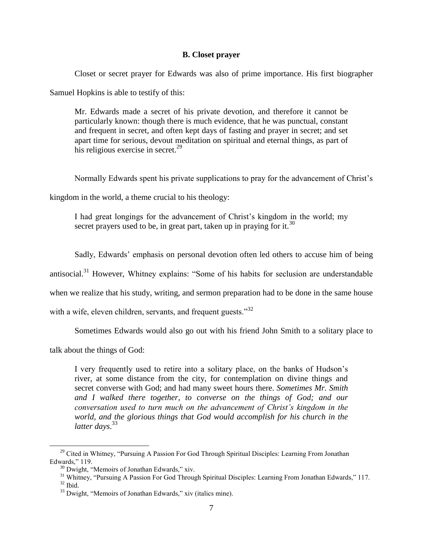### **B. Closet prayer**

Closet or secret prayer for Edwards was also of prime importance. His first biographer

Samuel Hopkins is able to testify of this:

Mr. Edwards made a secret of his private devotion, and therefore it cannot be particularly known: though there is much evidence, that he was punctual, constant and frequent in secret, and often kept days of fasting and prayer in secret; and set apart time for serious, devout meditation on spiritual and eternal things, as part of his religious exercise in secret.<sup>29</sup>

Normally Edwards spent his private supplications to pray for the advancement of Christ's

kingdom in the world, a theme crucial to his theology:

I had great longings for the advancement of Christ's kingdom in the world; my secret prayers used to be, in great part, taken up in praying for it.<sup>30</sup>

Sadly, Edwards' emphasis on personal devotion often led others to accuse him of being

antisocial.<sup>31</sup> However, Whitney explains: "Some of his habits for seclusion are understandable

when we realize that his study, writing, and sermon preparation had to be done in the same house

with a wife, eleven children, servants, and frequent guests.<sup>32</sup>

Sometimes Edwards would also go out with his friend John Smith to a solitary place to

talk about the things of God:

 $\overline{a}$ 

I very frequently used to retire into a solitary place, on the banks of Hudson's river, at some distance from the city, for contemplation on divine things and secret converse with God; and had many sweet hours there. *Sometimes Mr. Smith and I walked there together, to converse on the things of God; and our conversation used to turn much on the advancement of Christ's kingdom in the world, and the glorious things that God would accomplish for his church in the latter days*. 33

<sup>&</sup>lt;sup>29</sup> Cited in Whitney, "Pursuing A Passion For God Through Spiritual Disciples: Learning From Jonathan Edwards," 119.

 $30$  Dwight, "Memoirs of Jonathan Edwards," xiv.

<sup>&</sup>lt;sup>31</sup> Whitney, "Pursuing A Passion For God Through Spiritual Disciples: Learning From Jonathan Edwards," 117.  $32$  Ibid.

 $33$  Dwight, "Memoirs of Jonathan Edwards," xiv (italics mine).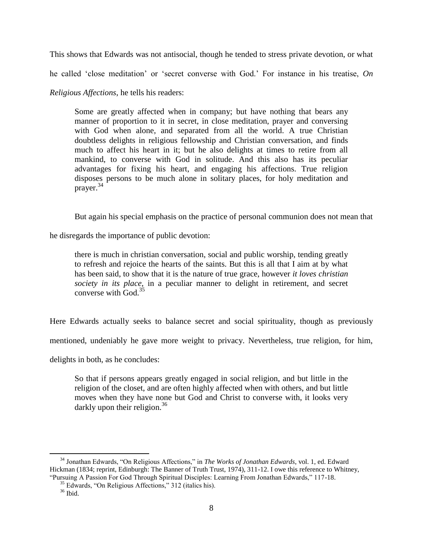This shows that Edwards was not antisocial, though he tended to stress private devotion, or what

he called 'close meditation' or 'secret converse with God.' For instance in his treatise, *On* 

*Religious Affections*, he tells his readers:

Some are greatly affected when in company; but have nothing that bears any manner of proportion to it in secret, in close meditation, prayer and conversing with God when alone, and separated from all the world. A true Christian doubtless delights in religious fellowship and Christian conversation, and finds much to affect his heart in it; but he also delights at times to retire from all mankind, to converse with God in solitude. And this also has its peculiar advantages for fixing his heart, and engaging his affections. True religion disposes persons to be much alone in solitary places, for holy meditation and prayer.<sup>34</sup>

But again his special emphasis on the practice of personal communion does not mean that

he disregards the importance of public devotion:

there is much in christian conversation, social and public worship, tending greatly to refresh and rejoice the hearts of the saints. But this is all that I aim at by what has been said, to show that it is the nature of true grace, however *it loves christian society in its place*, in a peculiar manner to delight in retirement, and secret converse with God.<sup>35</sup>

Here Edwards actually seeks to balance secret and social spirituality, though as previously

mentioned, undeniably he gave more weight to privacy. Nevertheless, true religion, for him,

delights in both, as he concludes:

So that if persons appears greatly engaged in social religion, and but little in the religion of the closet, and are often highly affected when with others, and but little moves when they have none but God and Christ to converse with, it looks very darkly upon their religion.<sup>36</sup>

<sup>&</sup>lt;sup>34</sup> Jonathan Edwards, "On Religious Affections," in *The Works of Jonathan Edwards*, vol. 1, ed. Edward Hickman (1834; reprint, Edinburgh: The Banner of Truth Trust, 1974), 311-12. I owe this reference to Whitney, "Pursuing A Passion For God Through Spiritual Disciples: Learning From Jonathan Edwards," 117-18.

 $35$  Edwards, "On Religious Affections," 312 (italics his).

<sup>36</sup> Ibid.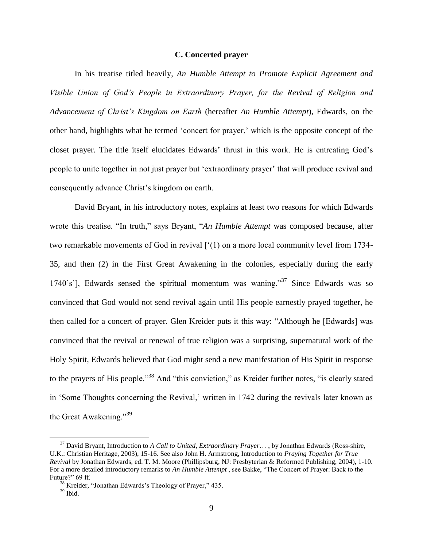### **C. Concerted prayer**

In his treatise titled heavily, *An Humble Attempt to Promote Explicit Agreement and Visible Union of God's People in Extraordinary Prayer, for the Revival of Religion and Advancement of Christ's Kingdom on Earth* (hereafter *An Humble Attempt*), Edwards, on the other hand, highlights what he termed ‗concert for prayer,' which is the opposite concept of the closet prayer. The title itself elucidates Edwards' thrust in this work. He is entreating God's people to unite together in not just prayer but ‗extraordinary prayer' that will produce revival and consequently advance Christ's kingdom on earth.

David Bryant, in his introductory notes, explains at least two reasons for which Edwards wrote this treatise. "In truth," says Bryant, "An Humble Attempt was composed because, after two remarkable movements of God in revival  $[{}^{\circ}(1)$  on a more local community level from 1734-35, and then (2) in the First Great Awakening in the colonies, especially during the early 1740's'], Edwards sensed the spiritual momentum was waning.<sup>37</sup> Since Edwards was so convinced that God would not send revival again until His people earnestly prayed together, he then called for a concert of prayer. Glen Kreider puts it this way: "Although he [Edwards] was convinced that the revival or renewal of true religion was a surprising, supernatural work of the Holy Spirit, Edwards believed that God might send a new manifestation of His Spirit in response to the prayers of His people.<sup>38</sup> And "this conviction," as Kreider further notes, "is clearly stated in 'Some Thoughts concerning the Revival,' written in 1742 during the revivals later known as the Great Awakening." $39$ 

<sup>37</sup> David Bryant, Introduction to *A Call to United, Extraordinary Prayer*… , by Jonathan Edwards (Ross-shire, U.K.: Christian Heritage, 2003), 15-16. See also John H. Armstrong, Introduction to *Praying Together for True Revival* by Jonathan Edwards, ed. T. M. Moore (Phillipsburg, NJ: Presbyterian & Reformed Publishing, 2004), 1-10. For a more detailed introductory remarks to *An Humble Attempt*, see Bakke, "The Concert of Prayer: Back to the Future?" 69 ff.

 $38$  Kreider, "Jonathan Edwards's Theology of Prayer," 435.

 $39$  Ibid.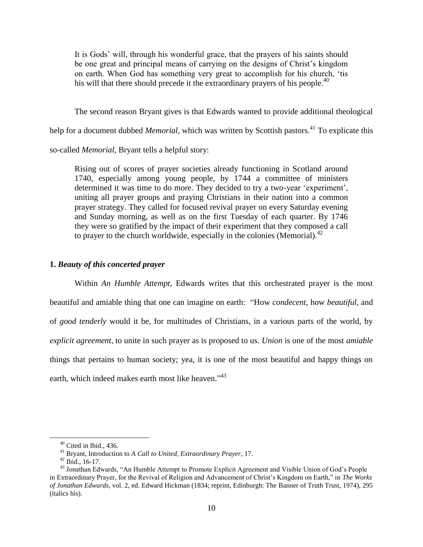It is Gods' will, through his wonderful grace, that the prayers of his saints should be one great and principal means of carrying on the designs of Christ's kingdom on earth. When God has something very great to accomplish for his church, 'tis his will that there should precede it the extraordinary prayers of his people.<sup>40</sup>

The second reason Bryant gives is that Edwards wanted to provide additional theological

help for a document dubbed *Memorial*, which was written by Scottish pastors.<sup>41</sup> To explicate this

so-called *Memorial*, Bryant tells a helpful story:

Rising out of scores of prayer societies already functioning in Scotland around 1740, especially among young people, by 1744 a committee of ministers determined it was time to do more. They decided to try a two-year 'experiment', uniting all prayer groups and praying Christians in their nation into a common prayer strategy. They called for focused revival prayer on every Saturday evening and Sunday morning, as well as on the first Tuesday of each quarter. By 1746 they were so gratified by the impact of their experiment that they composed a call to prayer to the church worldwide, especially in the colonies (Memorial). $^{42}$ 

#### **1.** *Beauty of this concerted prayer*

Within *An Humble Attempt*, Edwards writes that this orchestrated prayer is the most beautiful and amiable thing that one can imagine on earth: "How *condecent*, how *beautiful*, and of *good tenderly* would it be, for multitudes of Christians, in a various parts of the world, by *explicit agreement*, to unite in such prayer as is proposed to us. *Union* is one of the most *amiable* things that pertains to human society; yea, it is one of the most beautiful and happy things on earth, which indeed makes earth most like heaven."<sup>43</sup>

 $40$  Cited in Ibid., 436.

<sup>41</sup> Bryant, Introduction to *A Call to United, Extraordinary Prayer*, 17.

 $42$  Ibid., 16-17.

<sup>&</sup>lt;sup>43</sup> Jonathan Edwards, "An Humble Attempt to Promote Explicit Agreement and Visible Union of God's People in Extraordinary Prayer, for the Revival of Religion and Advancement of Christ's Kingdom on Earth," in *The Works of Jonathan Edwards*, vol. 2, ed. Edward Hickman (1834; reprint, Edinburgh: The Banner of Truth Trust, 1974), 295 (italics his).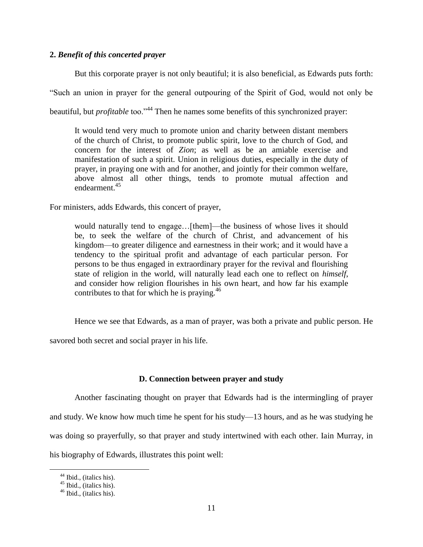### **2.** *Benefit of this concerted prayer*

But this corporate prayer is not only beautiful; it is also beneficial, as Edwards puts forth: ―Such an union in prayer for the general outpouring of the Spirit of God, would not only be beautiful, but *profitable* too.<sup>344</sup> Then he names some benefits of this synchronized prayer:

It would tend very much to promote union and charity between distant members of the church of Christ, to promote public spirit, love to the church of God, and concern for the interest of *Zion*; as well as be an amiable exercise and manifestation of such a spirit. Union in religious duties, especially in the duty of prayer, in praying one with and for another, and jointly for their common welfare, above almost all other things, tends to promote mutual affection and endearment.<sup>45</sup>

For ministers, adds Edwards, this concert of prayer,

would naturally tend to engage…[them]—the business of whose lives it should be, to seek the welfare of the church of Christ, and advancement of his kingdom—to greater diligence and earnestness in their work; and it would have a tendency to the spiritual profit and advantage of each particular person. For persons to be thus engaged in extraordinary prayer for the revival and flourishing state of religion in the world, will naturally lead each one to reflect on *himself*, and consider how religion flourishes in his own heart, and how far his example contributes to that for which he is praying. $46$ 

Hence we see that Edwards, as a man of prayer, was both a private and public person. He

savored both secret and social prayer in his life.

# **D. Connection between prayer and study**

Another fascinating thought on prayer that Edwards had is the intermingling of prayer and study. We know how much time he spent for his study—13 hours, and as he was studying he was doing so prayerfully, so that prayer and study intertwined with each other. Iain Murray, in his biography of Edwards, illustrates this point well:

<sup>&</sup>lt;sup>44</sup> Ibid., (italics his).

 $45$  Ibid., (italics his).

 $46$  Ibid., (italics his).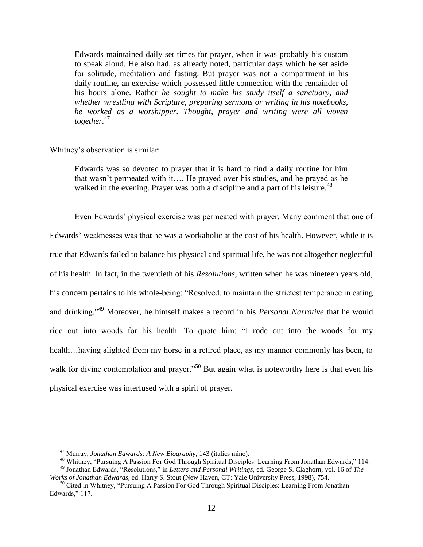Edwards maintained daily set times for prayer, when it was probably his custom to speak aloud. He also had, as already noted, particular days which he set aside for solitude, meditation and fasting. But prayer was not a compartment in his daily routine, an exercise which possessed little connection with the remainder of his hours alone. Rather *he sought to make his study itself a sanctuary, and whether wrestling with Scripture, preparing sermons or writing in his notebooks, he worked as a worshipper. Thought, prayer and writing were all woven together.*<sup>47</sup>

### Whitney's observation is similar:

Edwards was so devoted to prayer that it is hard to find a daily routine for him that wasn't permeated with it…. He prayed over his studies, and he prayed as he walked in the evening. Prayer was both a discipline and a part of his leisure.<sup>48</sup>

Even Edwards' physical exercise was permeated with prayer. Many comment that one of Edwards' weaknesses was that he was a workaholic at the cost of his health. However, while it is true that Edwards failed to balance his physical and spiritual life, he was not altogether neglectful of his health. In fact, in the twentieth of his *Resolutions*, written when he was nineteen years old, his concern pertains to his whole-being: "Resolved, to maintain the strictest temperance in eating and drinking.<sup>49</sup> Moreover, he himself makes a record in his *Personal Narrative* that he would ride out into woods for his health. To quote him: "I rode out into the woods for my health…having alighted from my horse in a retired place, as my manner commonly has been, to walk for divine contemplation and prayer.<sup> $50$ </sup> But again what is noteworthy here is that even his physical exercise was interfused with a spirit of prayer.

<sup>47</sup> Murray, *Jonathan Edwards: A New Biography*, 143 (italics mine).

<sup>&</sup>lt;sup>48</sup> Whitney, "Pursuing A Passion For God Through Spiritual Disciples: Learning From Jonathan Edwards," 114. <sup>49</sup> Jonathan Edwards, "Resolutions," in *Letters and Personal Writings*, ed. George S. Claghorn, vol. 16 of *The* 

*Works of Jonathan Edwards*, ed. Harry S. Stout (New Haven, CT: Yale University Press, 1998), 754. <sup>50</sup> Cited in Whitney, "Pursuing A Passion For God Through Spiritual Disciples: Learning From Jonathan

Edwards," 117.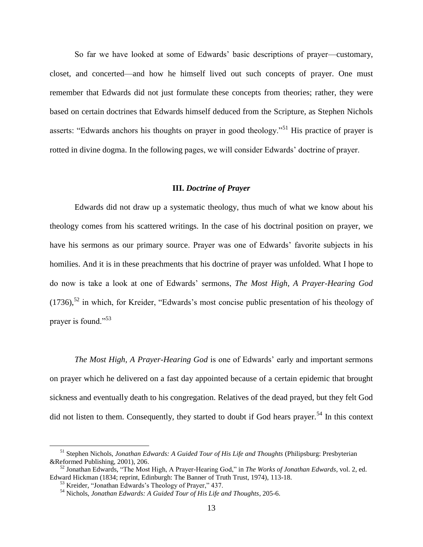So far we have looked at some of Edwards' basic descriptions of prayer—customary, closet, and concerted—and how he himself lived out such concepts of prayer. One must remember that Edwards did not just formulate these concepts from theories; rather, they were based on certain doctrines that Edwards himself deduced from the Scripture, as Stephen Nichols asserts: "Edwards anchors his thoughts on prayer in good theology."<sup>51</sup> His practice of prayer is rotted in divine dogma. In the following pages, we will consider Edwards' doctrine of prayer.

#### **III.** *Doctrine of Prayer*

Edwards did not draw up a systematic theology, thus much of what we know about his theology comes from his scattered writings. In the case of his doctrinal position on prayer, we have his sermons as our primary source. Prayer was one of Edwards' favorite subjects in his homilies. And it is in these preachments that his doctrine of prayer was unfolded. What I hope to do now is take a look at one of Edwards' sermons, *The Most High, A Prayer-Hearing God*  $(1736)$ ,<sup>52</sup> in which, for Kreider, "Edwards's most concise public presentation of his theology of prayer is found."<sup>53</sup>

*The Most High, A Prayer-Hearing God* is one of Edwards' early and important sermons on prayer which he delivered on a fast day appointed because of a certain epidemic that brought sickness and eventually death to his congregation. Relatives of the dead prayed, but they felt God did not listen to them. Consequently, they started to doubt if God hears prayer.<sup>54</sup> In this context

<sup>51</sup> Stephen Nichols, *Jonathan Edwards: A Guided Tour of His Life and Thoughts* (Philipsburg: Presbyterian &Reformed Publishing, 2001), 206.

<sup>&</sup>lt;sup>52</sup> Jonathan Edwards, "The Most High, A Prayer-Hearing God," in *The Works of Jonathan Edwards*, vol. 2, ed. Edward Hickman (1834; reprint, Edinburgh: The Banner of Truth Trust, 1974), 113-18.

 $53$  Kreider, "Jonathan Edwards's Theology of Prayer," 437.

<sup>54</sup> Nichols, *Jonathan Edwards: A Guided Tour of His Life and Thoughts*, 205-6.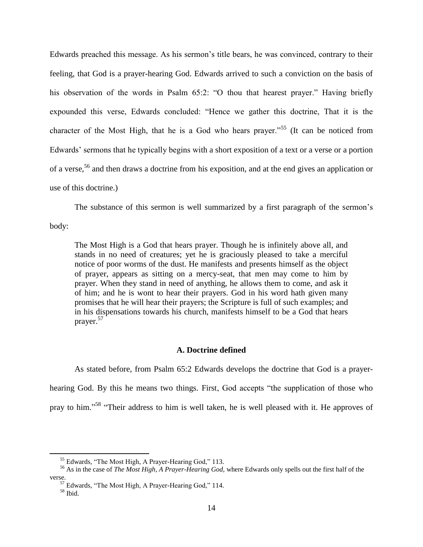Edwards preached this message. As his sermon's title bears, he was convinced, contrary to their feeling, that God is a prayer-hearing God. Edwards arrived to such a conviction on the basis of his observation of the words in Psalm  $65:2$ : "O thou that hearest prayer." Having briefly expounded this verse, Edwards concluded: "Hence we gather this doctrine, That it is the character of the Most High, that he is a God who hears prayer.<sup> $55$ </sup> (It can be noticed from Edwards' sermons that he typically begins with a short exposition of a text or a verse or a portion of a verse,<sup>56</sup> and then draws a doctrine from his exposition, and at the end gives an application or use of this doctrine.)

The substance of this sermon is well summarized by a first paragraph of the sermon's

body:

The Most High is a God that hears prayer. Though he is infinitely above all, and stands in no need of creatures; yet he is graciously pleased to take a merciful notice of poor worms of the dust. He manifests and presents himself as the object of prayer, appears as sitting on a mercy-seat, that men may come to him by prayer. When they stand in need of anything, he allows them to come, and ask it of him; and he is wont to hear their prayers. God in his word hath given many promises that he will hear their prayers; the Scripture is full of such examples; and in his dispensations towards his church, manifests himself to be a God that hears prayer.<sup>57</sup>

## **A. Doctrine defined**

As stated before, from Psalm 65:2 Edwards develops the doctrine that God is a prayerhearing God. By this he means two things. First, God accepts "the supplication of those who pray to him."<sup>58</sup> "Their address to him is well taken, he is well pleased with it. He approves of

 $<sup>55</sup>$  Edwards, "The Most High, A Prayer-Hearing God," 113.</sup>

<sup>56</sup> As in the case of *The Most High, A Prayer-Hearing God*, where Edwards only spells out the first half of the verse.

<sup>&</sup>lt;sup>57</sup> Edwards, "The Most High, A Prayer-Hearing God," 114.

<sup>58</sup> Ibid.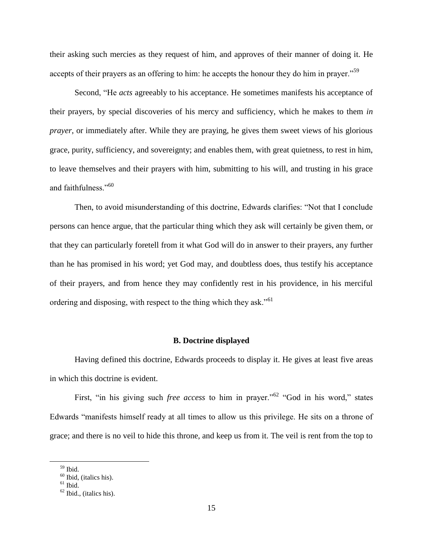their asking such mercies as they request of him, and approves of their manner of doing it. He accepts of their prayers as an offering to him: he accepts the honour they do him in prayer.<sup> $59$ </sup>

Second, "He *acts* agreeably to his acceptance. He sometimes manifests his acceptance of their prayers, by special discoveries of his mercy and sufficiency, which he makes to them *in prayer*, or immediately after. While they are praying, he gives them sweet views of his glorious grace, purity, sufficiency, and sovereignty; and enables them, with great quietness, to rest in him, to leave themselves and their prayers with him, submitting to his will, and trusting in his grace and faithfulness."<sup>60</sup>

Then, to avoid misunderstanding of this doctrine, Edwards clarifies: "Not that I conclude persons can hence argue, that the particular thing which they ask will certainly be given them, or that they can particularly foretell from it what God will do in answer to their prayers, any further than he has promised in his word; yet God may, and doubtless does, thus testify his acceptance of their prayers, and from hence they may confidently rest in his providence, in his merciful ordering and disposing, with respect to the thing which they ask.<sup> $61$ </sup>

### **B. Doctrine displayed**

Having defined this doctrine, Edwards proceeds to display it. He gives at least five areas in which this doctrine is evident.

First, "in his giving such *free access* to him in prayer."<sup>62</sup> "God in his word," states Edwards "manifests himself ready at all times to allow us this privilege. He sits on a throne of grace; and there is no veil to hide this throne, and keep us from it. The veil is rent from the top to

<sup>59</sup> Ibid.

 $60$  Ibid, (italics his).

 $61$  Ibid.

 $62$  Ibid., (italics his).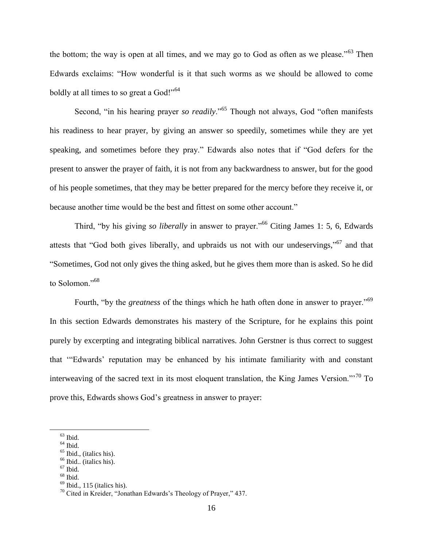the bottom; the way is open at all times, and we may go to God as often as we please.<sup> $53$ </sup> Then Edwards exclaims: "How wonderful is it that such worms as we should be allowed to come boldly at all times to so great a God!"<sup>64</sup>

Second, "in his hearing prayer *so readily*."<sup>65</sup> Though not always, God "often manifests" his readiness to hear prayer, by giving an answer so speedily, sometimes while they are yet speaking, and sometimes before they pray." Edwards also notes that if "God defers for the present to answer the prayer of faith, it is not from any backwardness to answer, but for the good of his people sometimes, that they may be better prepared for the mercy before they receive it, or because another time would be the best and fittest on some other account."

Third, "by his giving *so liberally* in answer to prayer."<sup>66</sup> Citing James 1: 5, 6, Edwards attests that "God both gives liberally, and upbraids us not with our undeservings,"<sup>67</sup> and that ―Sometimes, God not only gives the thing asked, but he gives them more than is asked. So he did to Solomon."<sup>68</sup>

Fourth, "by the *greatness* of the things which he hath often done in answer to prayer."<sup>69</sup> In this section Edwards demonstrates his mastery of the Scripture, for he explains this point purely by excerpting and integrating biblical narratives. John Gerstner is thus correct to suggest that "Edwards' reputation may be enhanced by his intimate familiarity with and constant interweaving of the sacred text in its most eloquent translation, the King James Version.‖'<sup>70</sup> To prove this, Edwards shows God's greatness in answer to prayer:

 $63$  Ibid.

 $<sup>64</sup>$  Ibid.</sup>

 $<sup>65</sup>$  Ibid., (italics his).</sup>

 $<sup>66</sup>$  Ibid.. (italics his).</sup>

 $67$  Ibid.

 $68$  Ibid.

 $<sup>69</sup>$  Ibid., 115 (italics his).</sup>

 $70$  Cited in Kreider, "Jonathan Edwards's Theology of Prayer," 437.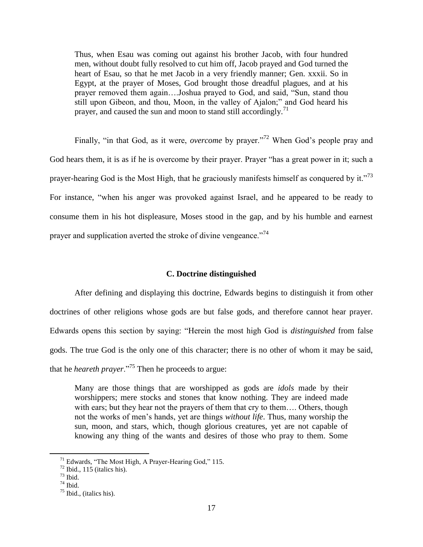Thus, when Esau was coming out against his brother Jacob, with four hundred men, without doubt fully resolved to cut him off, Jacob prayed and God turned the heart of Esau, so that he met Jacob in a very friendly manner; Gen. xxxii. So in Egypt, at the prayer of Moses, God brought those dreadful plagues, and at his prayer removed them again....Joshua prayed to God, and said, "Sun, stand thou still upon Gibeon, and thou, Moon, in the valley of Ajalon;" and God heard his prayer, and caused the sun and moon to stand still accordingly.<sup>71</sup>

Finally, "in that God, as it were, *overcome* by prayer."<sup>72</sup> When God's people pray and God hears them, it is as if he is overcome by their prayer. Prayer "has a great power in it; such a prayer-hearing God is the Most High, that he graciously manifests himself as conquered by it.<sup>773</sup> For instance, "when his anger was provoked against Israel, and he appeared to be ready to consume them in his hot displeasure, Moses stood in the gap, and by his humble and earnest prayer and supplication averted the stroke of divine vengeance.<sup>774</sup>

#### **C. Doctrine distinguished**

After defining and displaying this doctrine, Edwards begins to distinguish it from other doctrines of other religions whose gods are but false gods, and therefore cannot hear prayer. Edwards opens this section by saying: "Herein the most high God is *distinguished* from false gods. The true God is the only one of this character; there is no other of whom it may be said, that he *heareth prayer*."<sup>75</sup> Then he proceeds to argue:

Many are those things that are worshipped as gods are *idols* made by their worshippers; mere stocks and stones that know nothing. They are indeed made with ears; but they hear not the prayers of them that cry to them.... Others, though not the works of men's hands, yet are things *without life*. Thus, many worship the sun, moon, and stars, which, though glorious creatures, yet are not capable of knowing any thing of the wants and desires of those who pray to them. Some

 $71$  Edwards, "The Most High, A Prayer-Hearing God," 115.

 $72$  Ibid., 115 (italics his).

 $73$  Ibid.

<sup>74</sup> Ibid.

 $<sup>75</sup>$  Ibid., (italics his).</sup>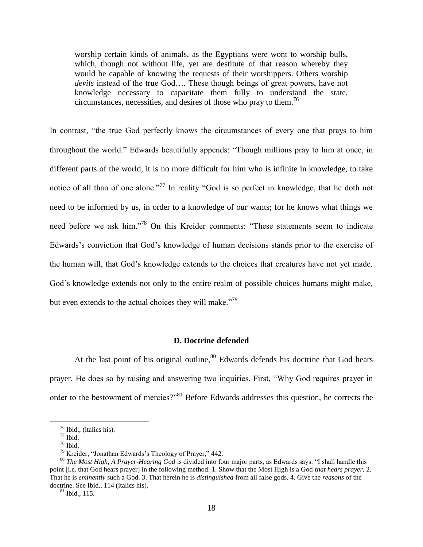worship certain kinds of animals, as the Egyptians were wont to worship bulls, which, though not without life, yet are destitute of that reason whereby they would be capable of knowing the requests of their worshippers. Others worship *devils* instead of the true God…. These though beings of great powers, have not knowledge necessary to capacitate them fully to understand the state, circumstances, necessities, and desires of those who pray to them.<sup>76</sup>

In contrast, "the true God perfectly knows the circumstances of every one that prays to him throughout the world." Edwards beautifully appends: "Though millions pray to him at once, in different parts of the world, it is no more difficult for him who is infinite in knowledge, to take notice of all than of one alone."<sup>77</sup> In reality "God is so perfect in knowledge, that he doth not need to be informed by us, in order to a knowledge of our wants; for he knows what things we need before we ask him."<sup>78</sup> On this Kreider comments: "These statements seem to indicate Edwards's conviction that God's knowledge of human decisions stands prior to the exercise of the human will, that God's knowledge extends to the choices that creatures have not yet made. God's knowledge extends not only to the entire realm of possible choices humans might make, but even extends to the actual choices they will make. $179$ 

### **D. Doctrine defended**

At the last point of his original outline,  $80$  Edwards defends his doctrine that God hears prayer. He does so by raising and answering two inquiries. First, "Why God requires prayer in order to the bestowment of mercies?"<sup>81</sup> Before Edwards addresses this question, he corrects the

 $\overline{a}$ 

 $81$  Ibid., 115.

<sup>76</sup> Ibid., (italics his).

 $^{77}$  Ibid.

<sup>78</sup> Ibid.

 $79$  Kreider, "Jonathan Edwards's Theology of Prayer," 442.

<sup>&</sup>lt;sup>80</sup> *The Most High, A Prayer-Hearing God* is divided into four major parts, as Edwards says: "I shall handle this point [i.e. that God hears prayer] in the following method: 1. Show that the Most High is a God *that hears prayer*. 2. That he is *eminently* such a God. 3. That herein he is *distinguished* from all false gods. 4. Give the *reasons* of the doctrine. See Ibid., 114 (italics his).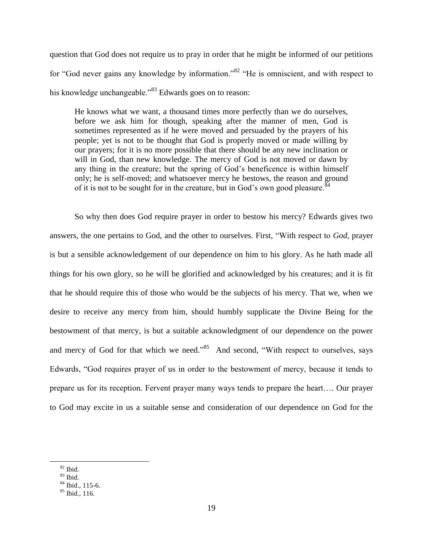question that God does not require us to pray in order that he might be informed of our petitions for "God never gains any knowledge by information."<sup>82</sup> "He is omniscient, and with respect to his knowledge unchangeable.<sup>83</sup> Edwards goes on to reason:

He knows what we want, a thousand times more perfectly than we do ourselves, before we ask him for though, speaking after the manner of men, God is sometimes represented as if he were moved and persuaded by the prayers of his people; yet is not to be thought that God is properly moved or made willing by our prayers; for it is no more possible that there should be any new inclination or will in God, than new knowledge. The mercy of God is not moved or dawn by any thing in the creature; but the spring of God's beneficence is within himself only; he is self-moved; and whatsoever mercy he bestows, the reason and ground of it is not to be sought for in the creature, but in God's own good pleasure.<sup>84</sup>

So why then does God require prayer in order to bestow his mercy? Edwards gives two answers, the one pertains to God, and the other to ourselves. First, "With respect to God, prayer is but a sensible acknowledgement of our dependence on him to his glory. As he hath made all things for his own glory, so he will be glorified and acknowledged by his creatures; and it is fit that he should require this of those who would be the subjects of his mercy. That we, when we desire to receive any mercy from him, should humbly supplicate the Divine Being for the bestowment of that mercy, is but a suitable acknowledgment of our dependence on the power and mercy of God for that which we need.<sup>35</sup> And second, "With respect to ourselves, says Edwards, "God requires prayer of us in order to the bestowment of mercy, because it tends to prepare us for its reception. Fervent prayer many ways tends to prepare the heart…. Our prayer to God may excite in us a suitable sense and consideration of our dependence on God for the

 $82$  Ibid.

 $83$  Ibid.

<sup>84</sup> Ibid., 115-6.

 $85$  Ibid., 116.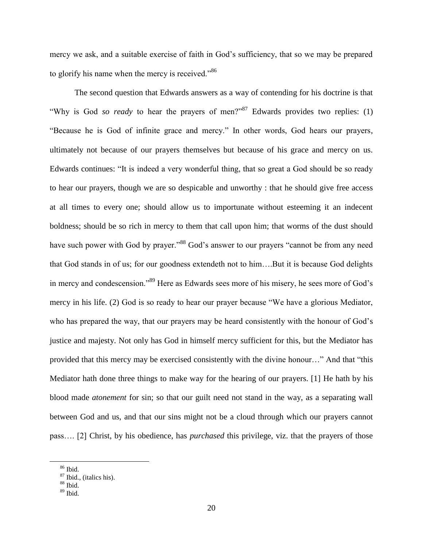mercy we ask, and a suitable exercise of faith in God's sufficiency, that so we may be prepared to glorify his name when the mercy is received. $^{86}$ 

The second question that Edwards answers as a way of contending for his doctrine is that "Why is God *so ready* to hear the prayers of men?" Edwards provides two replies: (1) "Because he is God of infinite grace and mercy." In other words, God hears our prayers, ultimately not because of our prayers themselves but because of his grace and mercy on us. Edwards continues: "It is indeed a very wonderful thing, that so great a God should be so ready to hear our prayers, though we are so despicable and unworthy : that he should give free access at all times to every one; should allow us to importunate without esteeming it an indecent boldness; should be so rich in mercy to them that call upon him; that worms of the dust should have such power with God by prayer."<sup>88</sup> God's answer to our prayers "cannot be from any need that God stands in of us; for our goodness extendeth not to him….But it is because God delights in mercy and condescension.<sup>89</sup> Here as Edwards sees more of his misery, he sees more of God's mercy in his life. (2) God is so ready to hear our prayer because "We have a glorious Mediator, who has prepared the way, that our prayers may be heard consistently with the honour of God's justice and majesty. Not only has God in himself mercy sufficient for this, but the Mediator has provided that this mercy may be exercised consistently with the divine honour…" And that "this Mediator hath done three things to make way for the hearing of our prayers. [1] He hath by his blood made *atonement* for sin; so that our guilt need not stand in the way, as a separating wall between God and us, and that our sins might not be a cloud through which our prayers cannot pass…. [2] Christ, by his obedience, has *purchased* this privilege, viz. that the prayers of those

<sup>86</sup> Ibid.

 $87$  Ibid., (italics his).

 $88$  Ibid.

 $89$  Ibid.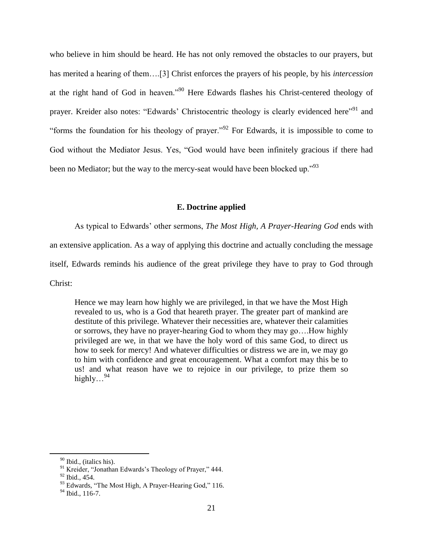who believe in him should be heard. He has not only removed the obstacles to our prayers, but has merited a hearing of them….[3] Christ enforces the prayers of his people, by his *intercession*  at the right hand of God in heaven.<sup>990</sup> Here Edwards flashes his Christ-centered theology of prayer. Kreider also notes: "Edwards' Christocentric theology is clearly evidenced here"<sup>91</sup> and "forms the foundation for his theology of prayer."<sup>92</sup> For Edwards, it is impossible to come to God without the Mediator Jesus. Yes, "God would have been infinitely gracious if there had been no Mediator; but the way to the mercy-seat would have been blocked up.<sup>793</sup>

### **E. Doctrine applied**

As typical to Edwards' other sermons, *The Most High, A Prayer-Hearing God* ends with an extensive application. As a way of applying this doctrine and actually concluding the message itself, Edwards reminds his audience of the great privilege they have to pray to God through Christ:

Hence we may learn how highly we are privileged, in that we have the Most High revealed to us, who is a God that heareth prayer. The greater part of mankind are destitute of this privilege. Whatever their necessities are, whatever their calamities or sorrows, they have no prayer-hearing God to whom they may go….How highly privileged are we, in that we have the holy word of this same God, to direct us how to seek for mercy! And whatever difficulties or distress we are in, we may go to him with confidence and great encouragement. What a comfort may this be to us! and what reason have we to rejoice in our privilege, to prize them so highly...<sup>94</sup>

<sup>&</sup>lt;sup>90</sup> Ibid., (italics his).

<sup>&</sup>lt;sup>91</sup> Kreider, "Jonathan Edwards's Theology of Prayer," 444.

<sup>92</sup> Ibid., 454.

 $93$  Edwards, "The Most High, A Prayer-Hearing God," 116.

 $94$  Ibid., 116-7.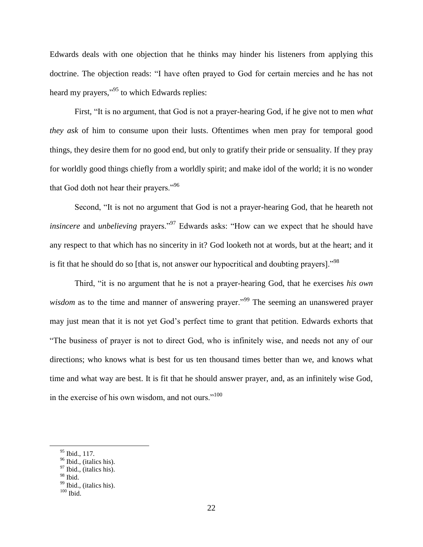Edwards deals with one objection that he thinks may hinder his listeners from applying this doctrine. The objection reads: "I have often prayed to God for certain mercies and he has not heard my prayers,"<sup>95</sup> to which Edwards replies:

First, "It is no argument, that God is not a prayer-hearing God, if he give not to men *what they ask* of him to consume upon their lusts. Oftentimes when men pray for temporal good things, they desire them for no good end, but only to gratify their pride or sensuality. If they pray for worldly good things chiefly from a worldly spirit; and make idol of the world; it is no wonder that God doth not hear their prayers."<sup>96</sup>

Second, "It is not no argument that God is not a prayer-hearing God, that he heareth not *insincere* and *unbelieving* prayers.<sup>97</sup> Edwards asks: "How can we expect that he should have any respect to that which has no sincerity in it? God looketh not at words, but at the heart; and it is fit that he should do so [that is, not answer our hypocritical and doubting prayers].<sup>98</sup>

Third, "it is no argument that he is not a prayer-hearing God, that he exercises *his own wisdom* as to the time and manner of answering prayer.<sup>99</sup> The seeming an unanswered prayer may just mean that it is not yet God's perfect time to grant that petition. Edwards exhorts that ―The business of prayer is not to direct God, who is infinitely wise, and needs not any of our directions; who knows what is best for us ten thousand times better than we, and knows what time and what way are best. It is fit that he should answer prayer, and, as an infinitely wise God, in the exercise of his own wisdom, and not ours. $100$ 

<sup>95</sup> Ibid., 117.

 $96$  Ibid., (italics his).

 $97$  Ibid., (italics his).

<sup>98</sup> Ibid.

<sup>&</sup>lt;sup>99</sup> Ibid., (italics his).

 $100$  Ibid.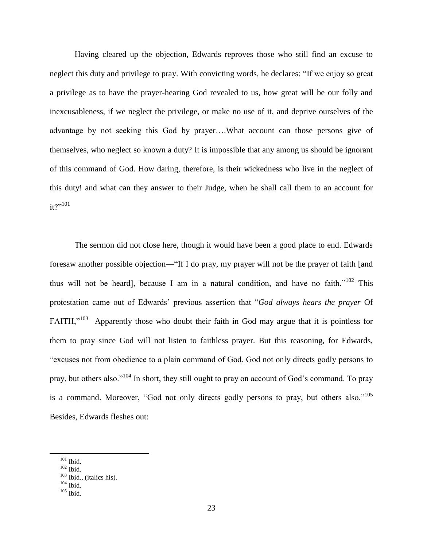Having cleared up the objection, Edwards reproves those who still find an excuse to neglect this duty and privilege to pray. With convicting words, he declares: "If we enjoy so great a privilege as to have the prayer-hearing God revealed to us, how great will be our folly and inexcusableness, if we neglect the privilege, or make no use of it, and deprive ourselves of the advantage by not seeking this God by prayer….What account can those persons give of themselves, who neglect so known a duty? It is impossible that any among us should be ignorant of this command of God. How daring, therefore, is their wickedness who live in the neglect of this duty! and what can they answer to their Judge, when he shall call them to an account for  $it?$ <sup>101</sup>

The sermon did not close here, though it would have been a good place to end. Edwards foresaw another possible objection—"If I do pray, my prayer will not be the prayer of faith [and thus will not be heard], because I am in a natural condition, and have no faith.<sup> $102$ </sup> This protestation came out of Edwards' previous assertion that "God always hears the prayer Of FAITH," $103$  Apparently those who doubt their faith in God may argue that it is pointless for them to pray since God will not listen to faithless prayer. But this reasoning, for Edwards, "excuses not from obedience to a plain command of God. God not only directs godly persons to pray, but others also."<sup>104</sup> In short, they still ought to pray on account of God's command. To pray is a command. Moreover, "God not only directs godly persons to pray, but others also."<sup>105</sup> Besides, Edwards fleshes out:

 $\overline{a}$ 

 $105$  Ibid.

 $101$  Ibid.

<sup>102</sup> Ibid.

 $103$  Ibid., (italics his).

 $104$  Ibid.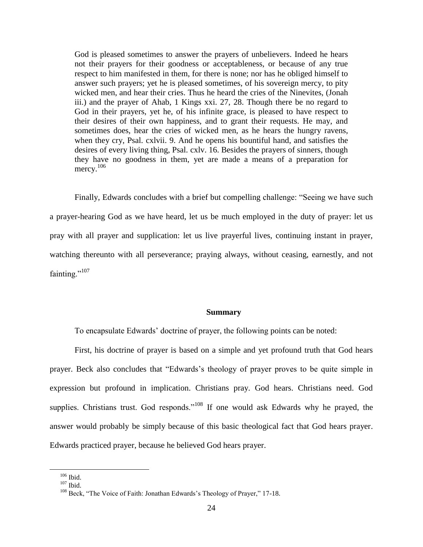God is pleased sometimes to answer the prayers of unbelievers. Indeed he hears not their prayers for their goodness or acceptableness, or because of any true respect to him manifested in them, for there is none; nor has he obliged himself to answer such prayers; yet he is pleased sometimes, of his sovereign mercy, to pity wicked men, and hear their cries. Thus he heard the cries of the Ninevites, (Jonah iii.) and the prayer of Ahab, 1 Kings xxi. 27, 28. Though there be no regard to God in their prayers, yet he, of his infinite grace, is pleased to have respect to their desires of their own happiness, and to grant their requests. He may, and sometimes does, hear the cries of wicked men, as he hears the hungry ravens, when they cry, Psal. cxlvii. 9. And he opens his bountiful hand, and satisfies the desires of every living thing, Psal. cxlv. 16. Besides the prayers of sinners, though they have no goodness in them, yet are made a means of a preparation for mercy.<sup>106</sup>

Finally, Edwards concludes with a brief but compelling challenge: "Seeing we have such a prayer-hearing God as we have heard, let us be much employed in the duty of prayer: let us pray with all prayer and supplication: let us live prayerful lives, continuing instant in prayer, watching thereunto with all perseverance; praying always, without ceasing, earnestly, and not fainting."<sup>107</sup>

#### **Summary**

To encapsulate Edwards' doctrine of prayer, the following points can be noted:

First, his doctrine of prayer is based on a simple and yet profound truth that God hears prayer. Beck also concludes that "Edwards's theology of prayer proves to be quite simple in expression but profound in implication. Christians pray. God hears. Christians need. God supplies. Christians trust. God responds."<sup>108</sup> If one would ask Edwards why he prayed, the answer would probably be simply because of this basic theological fact that God hears prayer. Edwards practiced prayer, because he believed God hears prayer.

 $106$  Ibid.

 $107$  Ibid.

<sup>&</sup>lt;sup>108</sup> Beck, "The Voice of Faith: Jonathan Edwards's Theology of Prayer," 17-18.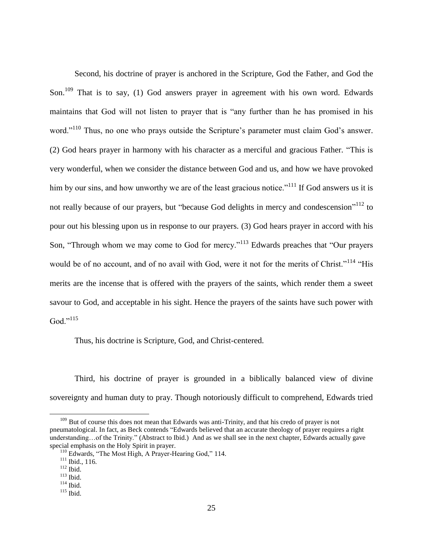Second, his doctrine of prayer is anchored in the Scripture, God the Father, and God the Son.<sup>109</sup> That is to say, (1) God answers prayer in agreement with his own word. Edwards maintains that God will not listen to prayer that is "any further than he has promised in his word."<sup>110</sup> Thus, no one who prays outside the Scripture's parameter must claim God's answer. (2) God hears prayer in harmony with his character as a merciful and gracious Father. "This is very wonderful, when we consider the distance between God and us, and how we have provoked him by our sins, and how unworthy we are of the least gracious notice.<sup> $111$ </sup> If God answers us it is not really because of our prayers, but "because God delights in mercy and condescension"<sup>112</sup> to pour out his blessing upon us in response to our prayers. (3) God hears prayer in accord with his Son, "Through whom we may come to God for mercy."<sup>113</sup> Edwards preaches that "Our prayers" would be of no account, and of no avail with God, were it not for the merits of Christ."<sup>114</sup> "His merits are the incense that is offered with the prayers of the saints, which render them a sweet savour to God, and acceptable in his sight. Hence the prayers of the saints have such power with God." $115$ 

Thus, his doctrine is Scripture, God, and Christ-centered.

Third, his doctrine of prayer is grounded in a biblically balanced view of divine sovereignty and human duty to pray. Though notoriously difficult to comprehend, Edwards tried

<sup>&</sup>lt;sup>109</sup> But of course this does not mean that Edwards was anti-Trinity, and that his credo of prayer is not pneumatological. In fact, as Beck contends "Edwards believed that an accurate theology of prayer requires a right understanding...of the Trinity." (Abstract to Ibid.) And as we shall see in the next chapter, Edwards actually gave special emphasis on the Holy Spirit in prayer.

 $110$  Edwards, "The Most High, A Prayer-Hearing God," 114.

 $111$  Ibid., 116.

 $112$  Ibid.

 $^{113}$  Ibid.

 $114$  Ibid.

 $115$  Ibid.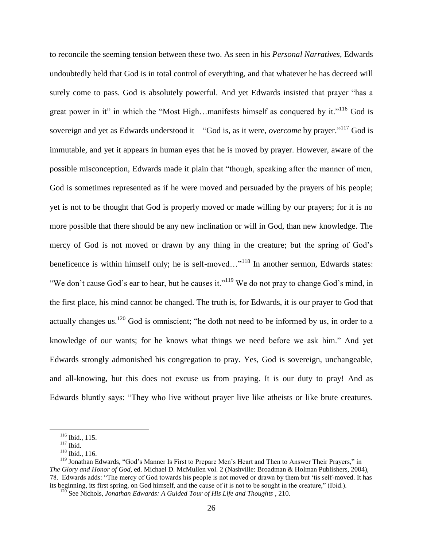to reconcile the seeming tension between these two. As seen in his *Personal Narratives*, Edwards undoubtedly held that God is in total control of everything, and that whatever he has decreed will surely come to pass. God is absolutely powerful. And yet Edwards insisted that prayer "has a great power in it" in which the "Most High...manifests himself as conquered by it."<sup>116</sup> God is sovereign and yet as Edwards understood it—"God is, as it were, *overcome* by prayer."<sup>117</sup> God is immutable, and yet it appears in human eyes that he is moved by prayer. However, aware of the possible misconception, Edwards made it plain that "though, speaking after the manner of men, God is sometimes represented as if he were moved and persuaded by the prayers of his people; yet is not to be thought that God is properly moved or made willing by our prayers; for it is no more possible that there should be any new inclination or will in God, than new knowledge. The mercy of God is not moved or drawn by any thing in the creature; but the spring of God's beneficence is within himself only; he is self-moved... $v^{118}$  In another sermon, Edwards states: "We don't cause God's ear to hear, but he causes it."<sup>119</sup> We do not pray to change God's mind, in the first place, his mind cannot be changed. The truth is, for Edwards, it is our prayer to God that actually changes us.<sup>120</sup> God is omniscient; "he doth not need to be informed by us, in order to a knowledge of our wants; for he knows what things we need before we ask him." And yet Edwards strongly admonished his congregation to pray. Yes, God is sovereign, unchangeable, and all-knowing, but this does not excuse us from praying. It is our duty to pray! And as Edwards bluntly says: "They who live without prayer live like atheists or like brute creatures.

<sup>116</sup> Ibid., 115.

 $117$  Ibid.

<sup>118</sup> Ibid., 116.

<sup>&</sup>lt;sup>119</sup> Jonathan Edwards, "God's Manner Is First to Prepare Men's Heart and Then to Answer Their Prayers," in *The Glory and Honor of God*, ed. Michael D. McMullen vol. 2 (Nashville: Broadman & Holman Publishers, 2004), 78. Edwards adds: "The mercy of God towards his people is not moved or drawn by them but 'tis self-moved. It has its beginning, its first spring, on God himself, and the cause of it is not to be sought in the creature," (Ibid.).

<sup>120</sup> See Nichols, *Jonathan Edwards: A Guided Tour of His Life and Thoughts* , 210.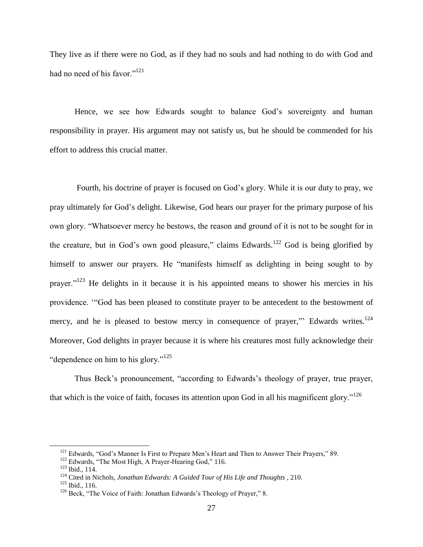They live as if there were no God, as if they had no souls and had nothing to do with God and had no need of his favor."<sup>121</sup>

Hence, we see how Edwards sought to balance God's sovereignty and human responsibility in prayer. His argument may not satisfy us, but he should be commended for his effort to address this crucial matter.

Fourth, his doctrine of prayer is focused on God's glory. While it is our duty to pray, we pray ultimately for God's delight. Likewise, God hears our prayer for the primary purpose of his own glory. "Whatsoever mercy he bestows, the reason and ground of it is not to be sought for in the creature, but in God's own good pleasure," claims Edwards.<sup>122</sup> God is being glorified by himself to answer our prayers. He "manifests himself as delighting in being sought to by prayer.<sup> $123$ </sup> He delights in it because it is his appointed means to shower his mercies in his providence. "God has been pleased to constitute prayer to be antecedent to the bestowment of mercy, and he is pleased to bestow mercy in consequence of prayer," Edwards writes.<sup>124</sup> Moreover, God delights in prayer because it is where his creatures most fully acknowledge their "dependence on him to his glory." $125$ 

Thus Beck's pronouncement, "according to Edwards's theology of prayer, true prayer, that which is the voice of faith, focuses its attention upon God in all his magnificent glory.<sup> $126$ </sup>

<sup>&</sup>lt;sup>121</sup> Edwards, "God's Manner Is First to Prepare Men's Heart and Then to Answer Their Prayers," 89.

<sup>&</sup>lt;sup>122</sup> Edwards, "The Most High, A Prayer-Hearing God," 116.

<sup>123</sup> Ibid., 114.

<sup>124</sup> Cited in Nichols, *Jonathan Edwards: A Guided Tour of His Life and Thoughts* , 210.

 $125$  Ibid., 116.

 $126$  Beck, "The Voice of Faith: Jonathan Edwards's Theology of Prayer," 8.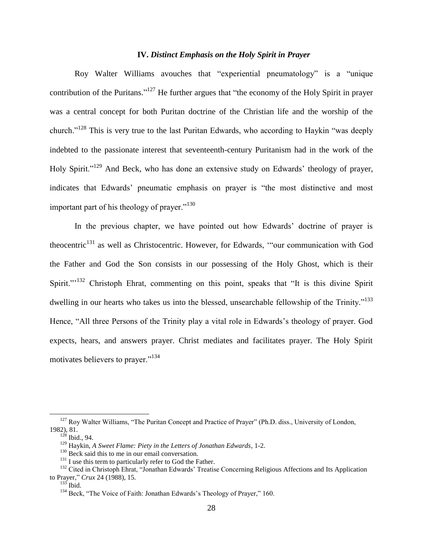## **IV.** *Distinct Emphasis on the Holy Spirit in Prayer*

Roy Walter Williams avouches that "experiential pneumatology" is a "unique contribution of the Puritans."<sup>127</sup> He further argues that "the economy of the Holy Spirit in prayer was a central concept for both Puritan doctrine of the Christian life and the worship of the church.<sup>"128</sup> This is very true to the last Puritan Edwards, who according to Haykin "was deeply indebted to the passionate interest that seventeenth-century Puritanism had in the work of the Holy Spirit."<sup>129</sup> And Beck, who has done an extensive study on Edwards' theology of prayer, indicates that Edwards' pneumatic emphasis on prayer is "the most distinctive and most important part of his theology of prayer. $130$ 

In the previous chapter, we have pointed out how Edwards' doctrine of prayer is theocentric<sup>131</sup> as well as Christocentric. However, for Edwards, "our communication with God the Father and God the Son consists in our possessing of the Holy Ghost, which is their Spirit."<sup>132</sup> Christoph Ehrat, commenting on this point, speaks that "It is this divine Spirit" dwelling in our hearts who takes us into the blessed, unsearchable fellowship of the Trinity.<sup> $133$ </sup> Hence, "All three Persons of the Trinity play a vital role in Edwards's theology of prayer. God expects, hears, and answers prayer. Christ mediates and facilitates prayer. The Holy Spirit motivates believers to prayer."<sup>134</sup>

<sup>&</sup>lt;sup>127</sup> Roy Walter Williams, "The Puritan Concept and Practice of Prayer" (Ph.D. diss., University of London, 1982), 81.

 $128$  Ibid., 94.

<sup>129</sup> Haykin, *A Sweet Flame: Piety in the Letters of Jonathan Edwards*, 1-2.

<sup>&</sup>lt;sup>130</sup> Beck said this to me in our email conversation.

<sup>&</sup>lt;sup>131</sup> I use this term to particularly refer to God the Father.

<sup>&</sup>lt;sup>132</sup> Cited in Christoph Ehrat, "Jonathan Edwards' Treatise Concerning Religious Affections and Its Application to Prayer,‖ *Crux* 24 (1988), 15.

 $133$  Ibid.

<sup>&</sup>lt;sup>134</sup> Beck, "The Voice of Faith: Jonathan Edwards's Theology of Prayer," 160.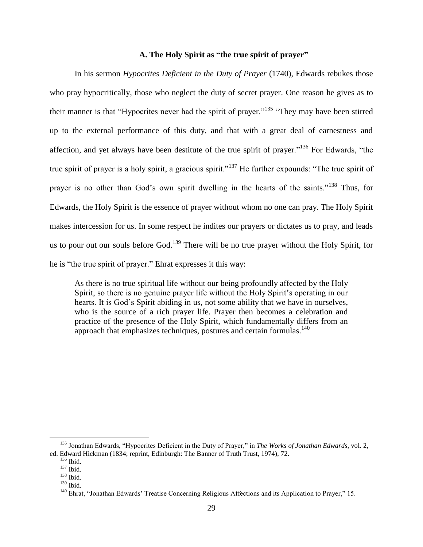## **A. The Holy Spirit as "the true spirit of prayer"**

In his sermon *Hypocrites Deficient in the Duty of Prayer* (1740), Edwards rebukes those who pray hypocritically, those who neglect the duty of secret prayer. One reason he gives as to their manner is that "Hypocrites never had the spirit of prayer."<sup>135</sup> "They may have been stirred up to the external performance of this duty, and that with a great deal of earnestness and affection, and yet always have been destitute of the true spirit of prayer.<sup> $136$ </sup> For Edwards, "the true spirit of prayer is a holy spirit, a gracious spirit."<sup>137</sup> He further expounds: "The true spirit of prayer is no other than God's own spirit dwelling in the hearts of the saints."<sup>138</sup> Thus, for Edwards, the Holy Spirit is the essence of prayer without whom no one can pray. The Holy Spirit makes intercession for us. In some respect he indites our prayers or dictates us to pray, and leads us to pour out our souls before  $God.139$  There will be no true prayer without the Holy Spirit, for he is "the true spirit of prayer." Ehrat expresses it this way:

As there is no true spiritual life without our being profoundly affected by the Holy Spirit, so there is no genuine prayer life without the Holy Spirit's operating in our hearts. It is God's Spirit abiding in us, not some ability that we have in ourselves, who is the source of a rich prayer life. Prayer then becomes a celebration and practice of the presence of the Holy Spirit, which fundamentally differs from an approach that emphasizes techniques, postures and certain formulas. $140$ 

<sup>&</sup>lt;sup>135</sup> Jonathan Edwards, "Hypocrites Deficient in the Duty of Prayer," in *The Works of Jonathan Edwards*, vol. 2, ed. Edward Hickman (1834; reprint, Edinburgh: The Banner of Truth Trust, 1974), 72.

 $136$  Ibid.

<sup>137</sup> Ibid.

<sup>138</sup> Ibid.

<sup>139</sup> Ibid.

<sup>&</sup>lt;sup>140</sup> Ehrat, "Jonathan Edwards' Treatise Concerning Religious Affections and its Application to Prayer," 15.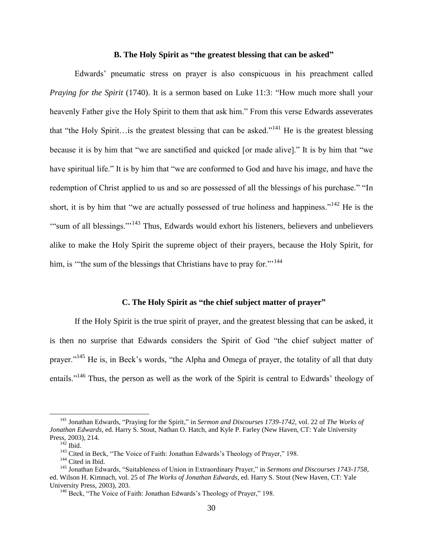### **B. The Holy Spirit as "the greatest blessing that can be asked"**

Edwards' pneumatic stress on prayer is also conspicuous in his preachment called *Praying for the Spirit* (1740). It is a sermon based on Luke 11:3: "How much more shall your heavenly Father give the Holy Spirit to them that ask him." From this verse Edwards asseverates that "the Holy Spirit…is the greatest blessing that can be asked."<sup>141</sup> He is the greatest blessing because it is by him that "we are sanctified and quicked [or made alive]." It is by him that "we have spiritual life." It is by him that "we are conformed to God and have his image, and have the redemption of Christ applied to us and so are possessed of all the blessings of his purchase." "In short, it is by him that "we are actually possessed of true holiness and happiness."<sup>142</sup> He is the "sum of all blessings."<sup>143</sup> Thus, Edwards would exhort his listeners, believers and unbelievers alike to make the Holy Spirit the supreme object of their prayers, because the Holy Spirit, for him, is "the sum of the blessings that Christians have to pray for."<sup>144</sup>

### **C. The Holy Spirit as "the chief subject matter of prayer"**

If the Holy Spirit is the true spirit of prayer, and the greatest blessing that can be asked, it is then no surprise that Edwards considers the Spirit of God "the chief subject matter of prayer."<sup>145</sup> He is, in Beck's words, "the Alpha and Omega of prayer, the totality of all that duty entails."<sup>146</sup> Thus, the person as well as the work of the Spirit is central to Edwards' theology of

<sup>&</sup>lt;sup>141</sup> Jonathan Edwards, "Praying for the Spirit," in *Sermon and Discourses 1739-1742*, vol. 22 of *The Works of Jonathan Edwards*, ed. Harry S. Stout, Nathan O. Hatch, and Kyle P. Farley (New Haven, CT: Yale University Press, 2003), 214.

 $142$  Ibid.

<sup>&</sup>lt;sup>143</sup> Cited in Beck, "The Voice of Faith: Jonathan Edwards's Theology of Prayer," 198.

<sup>&</sup>lt;sup>144</sup> Cited in Ibid.

<sup>&</sup>lt;sup>145</sup> Jonathan Edwards, "Suitableness of Union in Extraordinary Prayer," in *Sermons and Discourses 1743-1758*, ed. Wilson H. Kimnach, vol. 25 of *The Works of Jonathan Edwards*, ed. Harry S. Stout (New Haven, CT: Yale University Press, 2003), 203.

 $146$  Beck, "The Voice of Faith: Jonathan Edwards's Theology of Prayer," 198.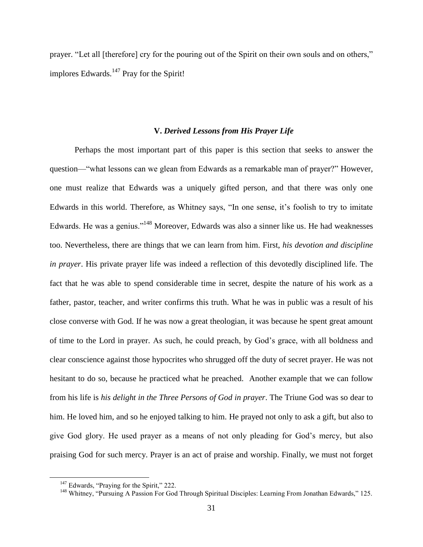prayer. "Let all [therefore] cry for the pouring out of the Spirit on their own souls and on others," implores Edwards.<sup>147</sup> Pray for the Spirit!

#### **V.** *Derived Lessons from His Prayer Life*

Perhaps the most important part of this paper is this section that seeks to answer the question— "what lessons can we glean from Edwards as a remarkable man of prayer?" However, one must realize that Edwards was a uniquely gifted person, and that there was only one Edwards in this world. Therefore, as Whitney says, "In one sense, it's foolish to try to imitate Edwards. He was a genius."<sup>148</sup> Moreover, Edwards was also a sinner like us. He had weaknesses too. Nevertheless, there are things that we can learn from him. First, *his devotion and discipline in prayer*. His private prayer life was indeed a reflection of this devotedly disciplined life. The fact that he was able to spend considerable time in secret, despite the nature of his work as a father, pastor, teacher, and writer confirms this truth. What he was in public was a result of his close converse with God. If he was now a great theologian, it was because he spent great amount of time to the Lord in prayer. As such, he could preach, by God's grace, with all boldness and clear conscience against those hypocrites who shrugged off the duty of secret prayer. He was not hesitant to do so, because he practiced what he preached. Another example that we can follow from his life is *his delight in the Three Persons of God in prayer*. The Triune God was so dear to him. He loved him, and so he enjoyed talking to him. He prayed not only to ask a gift, but also to give God glory. He used prayer as a means of not only pleading for God's mercy, but also praising God for such mercy. Prayer is an act of praise and worship. Finally, we must not forget

 $147$  Edwards, "Praying for the Spirit," 222.

<sup>&</sup>lt;sup>148</sup> Whitney, "Pursuing A Passion For God Through Spiritual Disciples: Learning From Jonathan Edwards," 125.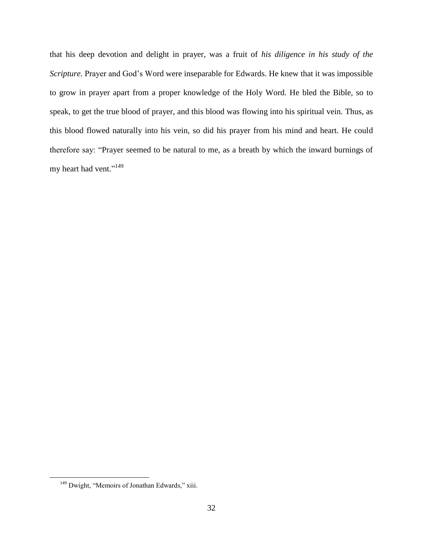that his deep devotion and delight in prayer, was a fruit of *his diligence in his study of the Scripture.* Prayer and God's Word were inseparable for Edwards. He knew that it was impossible to grow in prayer apart from a proper knowledge of the Holy Word. He bled the Bible, so to speak, to get the true blood of prayer, and this blood was flowing into his spiritual vein. Thus, as this blood flowed naturally into his vein, so did his prayer from his mind and heart. He could therefore say: "Prayer seemed to be natural to me, as a breath by which the inward burnings of my heart had vent."<sup>149</sup>

 $149$  Dwight, "Memoirs of Jonathan Edwards," xiii.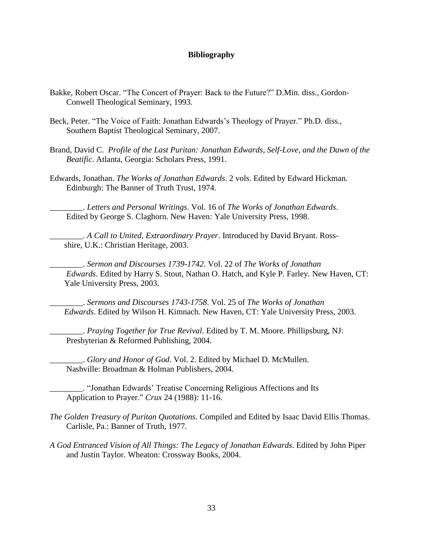## **Bibliography**

- Bakke, Robert Oscar. "The Concert of Prayer: Back to the Future?" D.Min. diss., Gordon-Conwell Theological Seminary, 1993.
- Beck, Peter. "The Voice of Faith: Jonathan Edwards's Theology of Prayer." Ph.D. diss., Southern Baptist Theological Seminary, 2007.
- Brand, David C. *Profile of the Last Puritan: Jonathan Edwards, Self-Love, and the Dawn of the Beatific*. Atlanta, Georgia: Scholars Press, 1991.
- Edwards, Jonathan. *The Works of Jonathan Edwards*. 2 vols. Edited by Edward Hickman. Edinburgh: The Banner of Truth Trust, 1974.

\_\_\_\_\_\_\_\_. *Letters and Personal Writings*. Vol. 16 of *The Works of Jonathan Edwards*. Edited by George S. Claghorn. New Haven: Yale University Press, 1998.

\_\_\_\_\_\_\_\_. *A Call to United, Extraordinary Prayer*. Introduced by David Bryant. Ross shire, U.K.: Christian Heritage, 2003.

\_\_\_\_\_\_\_\_. *Sermon and Discourses 1739-1742*. Vol. 22 of *The Works of Jonathan Edwards*. Edited by Harry S. Stout, Nathan O. Hatch, and Kyle P. Farley. New Haven, CT: Yale University Press, 2003.

\_\_\_\_\_\_\_\_. *Sermons and Discourses 1743-1758*. Vol. 25 of *The Works of Jonathan Edwards*. Edited by Wilson H. Kimnach. New Haven, CT: Yale University Press, 2003.

\_\_\_\_\_\_\_\_. *Praying Together for True Revival*. Edited by T. M. Moore. Phillipsburg, NJ: Presbyterian & Reformed Publishing, 2004.

\_\_\_\_\_\_\_\_. *Glory and Honor of God*. Vol. 2. Edited by Michael D. McMullen. Nashville: Broadman & Holman Publishers, 2004.

\_\_\_\_\_\_\_\_. ―Jonathan Edwards' Treatise Concerning Religious Affections and Its Application to Prayer.‖ *Crux* 24 (1988): 11-16.

- *The Golden Treasury of Puritan Quotations*. Compiled and Edited by Isaac David Ellis Thomas. Carlisle, Pa.: Banner of Truth, 1977.
- *A God Entranced Vision of All Things: The Legacy of Jonathan Edwards*. Edited by John Piper and Justin Taylor. Wheaton: Crossway Books, 2004.